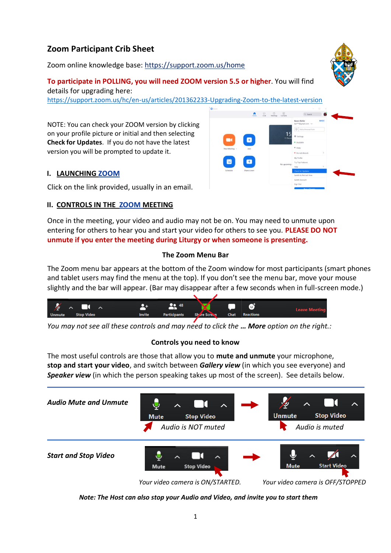# **Zoom Participant Crib Sheet**

Zoom online knowledge base:<https://support.zoom.us/home>

#### **To participate in POLLING, you will need ZOOM version 5.5 or higher**. You will find details for upgrading here:

<https://support.zoom.us/hc/en-us/articles/201362233-Upgrading-Zoom-to-the-latest-version>

NOTE: You can check your ZOOM version by clicking on your profile picture or initial and then selecting **Check for Updates**. If you do not have the latest version you will be prompted to update it.

## **I. LAUNCHING ZOOM**

Click on the link provided, usually in an email.

## **II. CONTROLS IN THE ZOOM MEETING**

Once in the meeting, your video and audio may not be on. You may need to unmute upon entering for others to hear you and start your video for others to see you. **PLEASE DO NOT unmute if you enter the meeting during Liturgy or when someone is presenting.**

#### **The Zoom Menu Bar**

The Zoom menu bar appears at the bottom of the Zoom window for most participants (smart phones and tablet users may find the menu at the top). If you don't see the menu bar, move your mouse slightly and the bar will appear. (Bar may disappear after a few seconds when in full-screen mode.)

| <b>M</b>      | ᄉ<br>ᄉ            |               | 48                  | ×                   | G           | <b>Leave Meeting</b> |  |
|---------------|-------------------|---------------|---------------------|---------------------|-------------|----------------------|--|
| <b>Unmute</b> | <b>Stop Video</b> | <b>Invite</b> | <b>Participants</b> | <b>Share Screen</b> | <b>Chat</b> | <b>Reactions</b>     |  |

*You may not see all these controls and may need to click the … More option on the right.:*

## **Controls you need to know**

The most useful controls are those that allow you to **mute and unmute** your microphone, **stop and start your video**, and switch between *Gallery view* (in which you see everyone) and **Speaker view** (in which the person speaking takes up most of the screen). See details below.



*Note: The Host can also stop your Audio and Video, and invite you to start them*

1



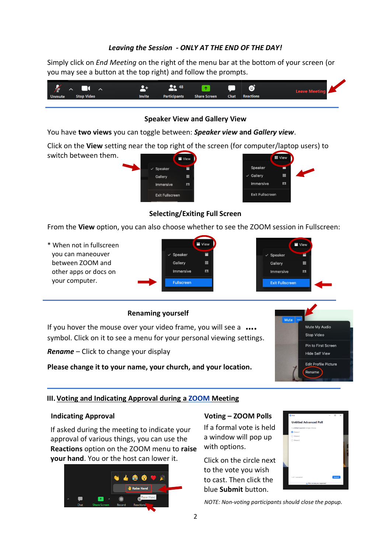## *Leaving the Session - ONLY AT THE END OF THE DAY!*

Simply click on *End Meeting* on the right of the menu bar at the bottom of your screen (or you may see a button at the top right) and follow the prompts.



#### **Speaker View and Gallery View**

You have **two views** you can toggle between: *Speaker view* **and** *Gallery view*.

Click on the **View** setting near the top right of the screen (for computer/laptop users) to switch between them. **E** View



## **Selecting/Exiting Full Screen**

From the **View** option, you can also choose whether to see the ZOOM session in Fullscreen:

\* When not in fullscreen you can maneouver between ZOOM and other apps or docs on your computer.





## **Renaming yourself**

If you hover the mouse over your video frame, you will see a **….**  symbol. Click on it to see a menu for your personal viewing settings.

*Rename* – Click to change your display

**Please change it to your name, your church, and your location.**



#### **III. Voting and Indicating Approval during a ZOOM Meeting**

#### **Indicating Approval**

If asked during the meeting to indicate your approval of various things, you can use the **Reactions** option on the ZOOM menu to **raise your hand**. You or the host can lower it.



#### **Voting – ZOOM Polls**

If a formal vote is held a window will pop up with options.

Click on the circle next to the vote you wish to cast. Then click the blue **Submit** button.



*NOTE: Non-voting participants should close the popup.*